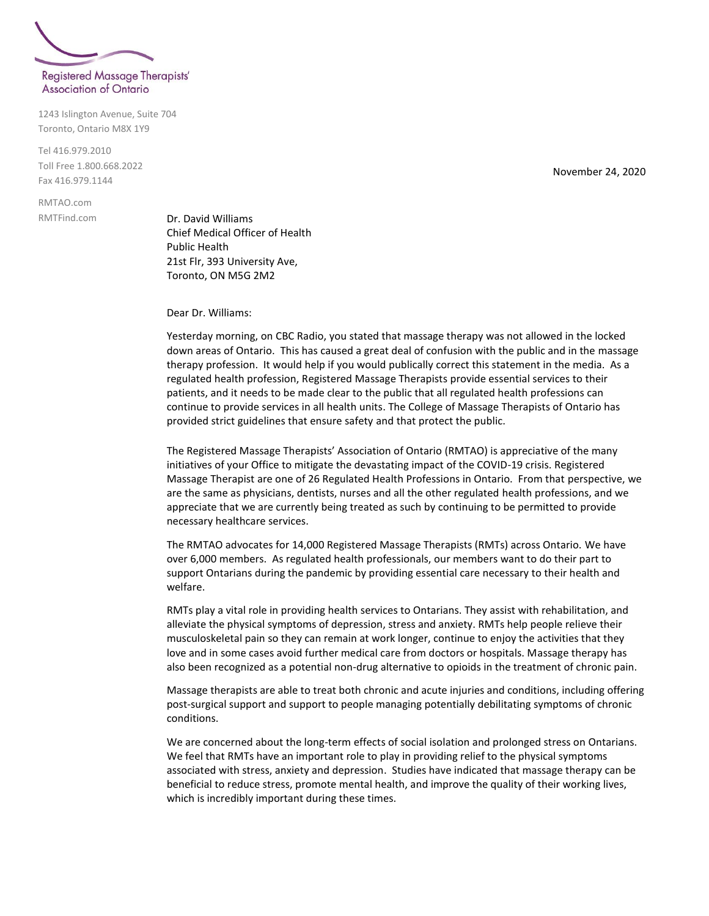

1243 Islington Avenue, Suite 704

Tel 416.979.2010 Toll Free 1.800.668.2022 Fax 416.979.1144

Toronto, Ontario M8X 1Y9

RMTAO.com RMTFind.com

Dr. David Williams Chief Medical Officer of Health Public Health 21st Flr, 393 University Ave, Toronto, ON M5G 2M2

Dear Dr. Williams:

Yesterday morning, on CBC Radio, you stated that massage therapy was not allowed in the locked down areas of Ontario. This has caused a great deal of confusion with the public and in the massage therapy profession. It would help if you would publically correct this statement in the media. As a regulated health profession, Registered Massage Therapists provide essential services to their patients, and it needs to be made clear to the public that all regulated health professions can continue to provide services in all health units. The College of Massage Therapists of Ontario has provided strict guidelines that ensure safety and that protect the public.

The Registered Massage Therapists' Association of Ontario (RMTAO) is appreciative of the many initiatives of your Office to mitigate the devastating impact of the COVID-19 crisis. Registered Massage Therapist are one of 26 Regulated Health Professions in Ontario. From that perspective, we are the same as physicians, dentists, nurses and all the other regulated health professions, and we appreciate that we are currently being treated as such by continuing to be permitted to provide necessary healthcare services.

The RMTAO advocates for 14,000 Registered Massage Therapists (RMTs) across Ontario. We have over 6,000 members. As regulated health professionals, our members want to do their part to support Ontarians during the pandemic by providing essential care necessary to their health and welfare.

RMTs play a vital role in providing health services to Ontarians. They assist with rehabilitation, and alleviate the physical symptoms of depression, stress and anxiety. RMTs help people relieve their musculoskeletal pain so they can remain at work longer, continue to enjoy the activities that they love and in some cases avoid further medical care from doctors or hospitals. Massage therapy has also been recognized as a potential non-drug alternative to opioids in the treatment of chronic pain.

Massage therapists are able to treat both chronic and acute injuries and conditions, including offering post-surgical support and support to people managing potentially debilitating symptoms of chronic conditions.

We are concerned about the long-term effects of social isolation and prolonged stress on Ontarians. We feel that RMTs have an important role to play in providing relief to the physical symptoms associated with stress, anxiety and depression. Studies have indicated that massage therapy can be beneficial to reduce stress, promote mental health, and improve the quality of their working lives, which is incredibly important during these times.

November 24, 2020